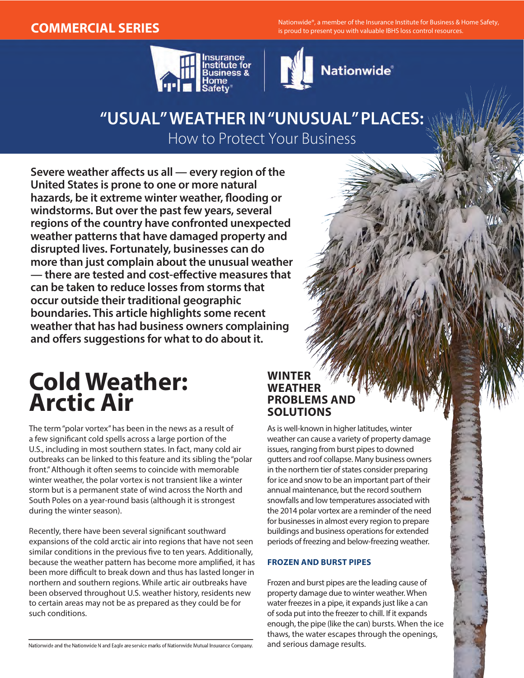MERCIAL SERIES **Nationwide®, a member of the Insurance Institute for Business & Home Safety, and Music provide to present you with valuable IBHS loss control resources.** 





## **"USUAL" WEATHER IN "UNUSUAL" PLACES:**  How to Protect Your Business

**Severe weather affects us all — every region of the United States is prone to one or more natural hazards, be it extreme winter weather, flooding or windstorms. But over the past few years, several regions of the country have confronted unexpected weather patterns that have damaged property and disrupted lives. Fortunately, businesses can do more than just complain about the unusual weather — there are tested and cost-effective measures that can be taken to reduce losses from storms that occur outside their traditional geographic boundaries. This article highlights some recent weather that has had business owners complaining and offers suggestions for what to do about it.**

# **Cold Weather: Arctic Air**

The term "polar vortex" has been in the news as a result of a few significant cold spells across a large portion of the U.S., including in most southern states. In fact, many cold air outbreaks can be linked to this feature and its sibling the "polar front." Although it often seems to coincide with memorable winter weather, the polar vortex is not transient like a winter storm but is a permanent state of wind across the North and South Poles on a year-round basis (although it is strongest during the winter season).

Recently, there have been several significant southward expansions of the cold arctic air into regions that have not seen similar conditions in the previous five to ten years. Additionally, because the weather pattern has become more amplified, it has been more difficult to break down and thus has lasted longer in northern and southern regions. While artic air outbreaks have been observed throughout U.S. weather history, residents new to certain areas may not be as prepared as they could be for such conditions.

#### **WINTER WEATHER PROBLEMS AND SOLUTIONS**

As is well-known in higher latitudes, winter weather can cause a variety of property damage issues, ranging from burst pipes to downed gutters and roof collapse. Many business owners in the northern tier of states consider preparing for ice and snow to be an important part of their annual maintenance, but the record southern snowfalls and low temperatures associated with the 2014 polar vortex are a reminder of the need for businesses in almost every region to prepare buildings and business operations for extended periods of freezing and below-freezing weather.

#### **FROZEN AND BURST PIPES**

Frozen and burst pipes are the leading cause of property damage due to winter weather. When water freezes in a pipe, it expands just like a can of soda put into the freezer to chill. If it expands enough, the pipe (like the can) bursts. When the ice thaws, the water escapes through the openings, and serious damage results.

Nationwide and the Nationwide N and Eagle are service marks of Nationwide Mutual Insurance Company.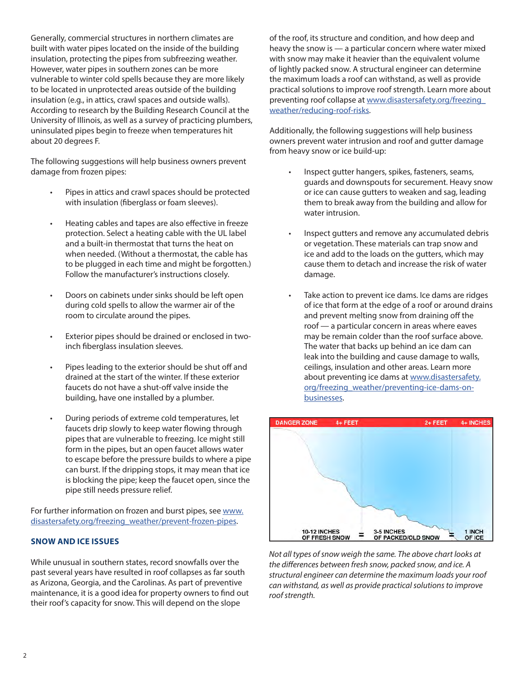Generally, commercial structures in northern climates are built with water pipes located on the inside of the building insulation, protecting the pipes from subfreezing weather. However, water pipes in southern zones can be more vulnerable to winter cold spells because they are more likely to be located in unprotected areas outside of the building insulation (e.g., in attics, crawl spaces and outside walls). According to research by the Building Research Council at the University of Illinois, as well as a survey of practicing plumbers, uninsulated pipes begin to freeze when temperatures hit about 20 degrees F.

The following suggestions will help business owners prevent damage from frozen pipes:

- Pipes in attics and crawl spaces should be protected with insulation (fiberglass or foam sleeves).
- Heating cables and tapes are also effective in freeze protection. Select a heating cable with the UL label and a built-in thermostat that turns the heat on when needed. (Without a thermostat, the cable has to be plugged in each time and might be forgotten.) Follow the manufacturer's instructions closely.
- Doors on cabinets under sinks should be left open during cold spells to allow the warmer air of the room to circulate around the pipes.
- Exterior pipes should be drained or enclosed in twoinch fiberglass insulation sleeves.
- Pipes leading to the exterior should be shut off and drained at the start of the winter. If these exterior faucets do not have a shut-off valve inside the building, have one installed by a plumber.
- During periods of extreme cold temperatures, let faucets drip slowly to keep water flowing through pipes that are vulnerable to freezing. Ice might still form in the pipes, but an open faucet allows water to escape before the pressure builds to where a pipe can burst. If the dripping stops, it may mean that ice is blocking the pipe; keep the faucet open, since the pipe still needs pressure relief.

For further information on frozen and burst pipes, see [www.](http://www.disastersafety.org/freezing_weather/prevent-frozen-pipes) [disastersafety.org/freezing\\_weather/prevent-frozen-pipes](http://www.disastersafety.org/freezing_weather/prevent-frozen-pipes).

#### **SNOW AND ICE ISSUES**

While unusual in southern states, record snowfalls over the past several years have resulted in roof collapses as far south as Arizona, Georgia, and the Carolinas. As part of preventive maintenance, it is a good idea for property owners to find out their roof's capacity for snow. This will depend on the slope

of the roof, its structure and condition, and how deep and heavy the snow is — a particular concern where water mixed with snow may make it heavier than the equivalent volume of lightly packed snow. A structural engineer can determine the maximum loads a roof can withstand, as well as provide practical solutions to improve roof strength. Learn more about preventing roof collapse at [www.disastersafety.org/freezing\\_](http://www.disastersafety.org/freezing_weather/reducing-roof-risks) [weather/reducing-roof-risks](http://www.disastersafety.org/freezing_weather/reducing-roof-risks).

Additionally, the following suggestions will help business owners prevent water intrusion and roof and gutter damage from heavy snow or ice build-up:

- Inspect gutter hangers, spikes, fasteners, seams, guards and downspouts for securement. Heavy snow or ice can cause gutters to weaken and sag, leading them to break away from the building and allow for water intrusion.
- Inspect gutters and remove any accumulated debris or vegetation. These materials can trap snow and ice and add to the loads on the gutters, which may cause them to detach and increase the risk of water damage.
- Take action to prevent ice dams. Ice dams are ridges of ice that form at the edge of a roof or around drains and prevent melting snow from draining off the roof — a particular concern in areas where eaves may be remain colder than the roof surface above. The water that backs up behind an ice dam can leak into the building and cause damage to walls, ceilings, insulation and other areas. Learn more about preventing ice dams at [www.disastersafety.](http://www.disastersafety.org/freezing_weather/preventing-ice-dams-on-businesses) [org/freezing\\_weather/preventing-ice-dams-on](http://www.disastersafety.org/freezing_weather/preventing-ice-dams-on-businesses)[businesses](http://www.disastersafety.org/freezing_weather/preventing-ice-dams-on-businesses).



*Not all types of snow weigh the same. The above chart looks at the differences between fresh snow, packed snow, and ice. A structural engineer can determine the maximum loads your roof can withstand, as well as provide practical solutions to improve roof strength.*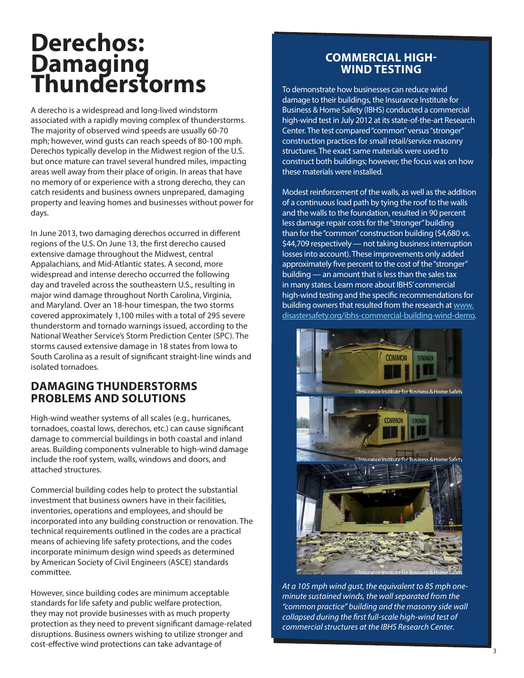# **Derechos: Damaging Thunderstorms**

A derecho is a widespread and long-lived windstorm associated with a rapidly moving complex of thunderstorms. The majority of observed wind speeds are usually 60-70 mph; however, wind gusts can reach speeds of 80-100 mph. Derechos typically develop in the Midwest region of the U.S. but once mature can travel several hundred miles, impacting areas well away from their place of origin. In areas that have no memory of or experience with a strong derecho, they can catch residents and business owners unprepared, damaging property and leaving homes and businesses without power for days.

In June 2013, two damaging derechos occurred in different regions of the U.S. On June 13, the first derecho caused extensive damage throughout the Midwest, central Appalachians, and Mid-Atlantic states. A second, more widespread and intense derecho occurred the following day and traveled across the southeastern U.S., resulting in major wind damage throughout North Carolina, Virginia, and Maryland. Over an 18-hour timespan, the two storms covered approximately 1,100 miles with a total of 295 severe thunderstorm and tornado warnings issued, according to the National Weather Service's Storm Prediction Center (SPC). The storms caused extensive damage in 18 states from Iowa to South Carolina as a result of significant straight-line winds and isolated tornadoes.

#### **DAMAGING THUNDERSTORMS PROBLEMS AND SOLUTIONS**

High-wind weather systems of all scales (e.g., hurricanes, tornadoes, coastal lows, derechos, etc.) can cause significant damage to commercial buildings in both coastal and inland areas. Building components vulnerable to high-wind damage include the roof system, walls, windows and doors, and attached structures.

Commercial building codes help to protect the substantial investment that business owners have in their facilities, inventories, operations and employees, and should be incorporated into any building construction or renovation. The technical requirements outlined in the codes are a practical means of achieving life safety protections, and the codes incorporate minimum design wind speeds as determined by American Society of Civil Engineers (ASCE) standards committee.

However, since building codes are minimum acceptable standards for life safety and public welfare protection, they may not provide businesses with as much property protection as they need to prevent significant damage-related disruptions. Business owners wishing to utilize stronger and cost-effective wind protections can take advantage of

### **COMMERCIAL HIGH-WIND TESTING**

To demonstrate how businesses can reduce wind damage to their buildings, the Insurance Institute for Business & Home Safety (IBHS) conducted a commercial high-wind test in July 2012 at its state-of-the-art Research Center. The test compared "common" versus "stronger" construction practices for small retail/service masonry structures. The exact same materials were used to construct both buildings; however, the focus was on how these materials were installed.

Modest reinforcement of the walls, as well as the addition of a continuous load path by tying the roof to the walls and the walls to the foundation, resulted in 90 percent less damage repair costs for the "stronger" building than for the "common" construction building (\$4,680 vs. \$44,709 respectively — not taking business interruption losses into account). These improvements only added approximately five percent to the cost of the "stronger" building — an amount that is less than the sales tax in many states. Learn more about IBHS' commercial high-wind testing and the specific recommendations for building owners that resulted from the research at [www.](http://www.disastersafety.org/ibhs-commercial-building-wind-demo) [disastersafety.org/ibhs-commercial-building-wind-demo.](http://www.disastersafety.org/ibhs-commercial-building-wind-demo)



*At a 105 mph wind gust, the equivalent to 85 mph oneminute sustained winds, the wall separated from the "common practice" building and the masonry side wall collapsed during the first full-scale high-wind test of commercial structures at the IBHS Research Center.*